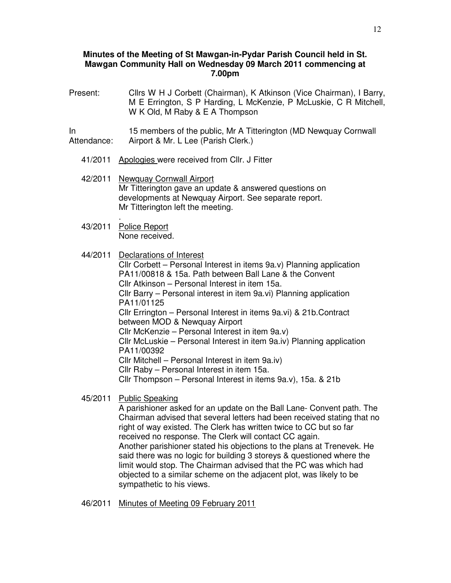## **Minutes of the Meeting of St Mawgan-in-Pydar Parish Council held in St. Mawgan Community Hall on Wednesday 09 March 2011 commencing at 7.00pm**

- Present: Cllrs W H J Corbett (Chairman), K Atkinson (Vice Chairman), I Barry, M E Errington, S P Harding, L McKenzie, P McLuskie, C R Mitchell, W K Old, M Raby & E A Thompson In Attendance: 15 members of the public, Mr A Titterington (MD Newquay Cornwall Airport & Mr. L Lee (Parish Clerk.) 41/2011 Apologies were received from Cllr. J Fitter 42/2011 Newquay Cornwall Airport Mr Titterington gave an update & answered questions on developments at Newquay Airport. See separate report. Mr Titterington left the meeting. . 43/2011 Police Report None received. 44/2011 Declarations of Interest Cllr Corbett – Personal Interest in items 9a.v) Planning application PA11/00818 & 15a. Path between Ball Lane & the Convent Cllr Atkinson – Personal Interest in item 15a. Cllr Barry – Personal interest in item 9a.vi) Planning application PA11/01125 Cllr Errington – Personal Interest in items 9a.vi) & 21b.Contract between MOD & Newquay Airport Cllr McKenzie – Personal Interest in item 9a.v) Cllr McLuskie – Personal Interest in item 9a.iv) Planning application PA11/00392 Cllr Mitchell – Personal Interest in item 9a.iv) Cllr Raby – Personal Interest in item 15a. Cllr Thompson – Personal Interest in items 9a.v), 15a. & 21b
	- 45/2011 Public Speaking

A parishioner asked for an update on the Ball Lane- Convent path. The Chairman advised that several letters had been received stating that no right of way existed. The Clerk has written twice to CC but so far received no response. The Clerk will contact CC again. Another parishioner stated his objections to the plans at Trenevek. He said there was no logic for building 3 storeys & questioned where the limit would stop. The Chairman advised that the PC was which had objected to a similar scheme on the adjacent plot, was likely to be sympathetic to his views.

46/2011 Minutes of Meeting 09 February 2011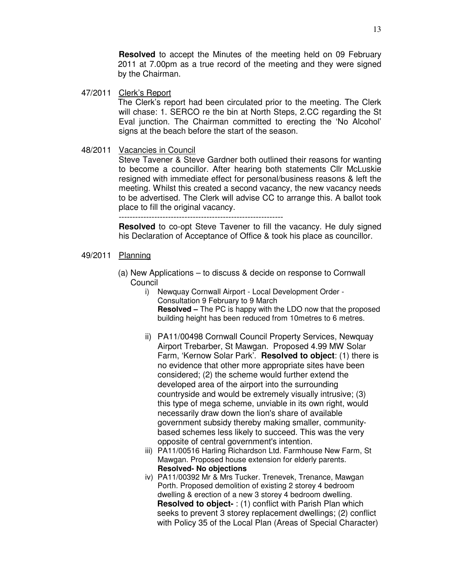**Resolved** to accept the Minutes of the meeting held on 09 February 2011 at 7.00pm as a true record of the meeting and they were signed by the Chairman.

47/2011 Clerk's Report

The Clerk's report had been circulated prior to the meeting. The Clerk will chase: 1. SERCO re the bin at North Steps, 2.CC regarding the St Eval junction. The Chairman committed to erecting the 'No Alcohol' signs at the beach before the start of the season.

#### 48/2011 Vacancies in Council

Steve Tavener & Steve Gardner both outlined their reasons for wanting to become a councillor. After hearing both statements Cllr McLuskie resigned with immediate effect for personal/business reasons & left the meeting. Whilst this created a second vacancy, the new vacancy needs to be advertised. The Clerk will advise CC to arrange this. A ballot took place to fill the original vacancy. ------------------------------------------------------------

**Resolved** to co-opt Steve Tavener to fill the vacancy. He duly signed

his Declaration of Acceptance of Office & took his place as councillor.

- 49/2011 Planning
	- (a) New Applications to discuss & decide on response to Cornwall Council
		- i) Newquay Cornwall Airport Local Development Order Consultation 9 February to 9 March **Resolved –** The PC is happy with the LDO now that the proposed building height has been reduced from 10metres to 6 metres.
		- ii) PA11/00498 Cornwall Council Property Services, Newquay Airport Trebarber, St Mawgan. Proposed 4.99 MW Solar Farm, 'Kernow Solar Park'. **Resolved to object**: (1) there is no evidence that other more appropriate sites have been considered; (2) the scheme would further extend the developed area of the airport into the surrounding countryside and would be extremely visually intrusive; (3) this type of mega scheme, unviable in its own right, would necessarily draw down the lion's share of available government subsidy thereby making smaller, communitybased schemes less likely to succeed. This was the very opposite of central government's intention.
		- iii) PA11/00516 Harling Richardson Ltd. Farmhouse New Farm, St Mawgan. Proposed house extension for elderly parents. **Resolved- No objections**
		- iv) PA11/00392 Mr & Mrs Tucker. Trenevek, Trenance, Mawgan Porth. Proposed demolition of existing 2 storey 4 bedroom dwelling & erection of a new 3 storey 4 bedroom dwelling. **Resolved to object-** : (1) conflict with Parish Plan which seeks to prevent 3 storey replacement dwellings; (2) conflict with Policy 35 of the Local Plan (Areas of Special Character)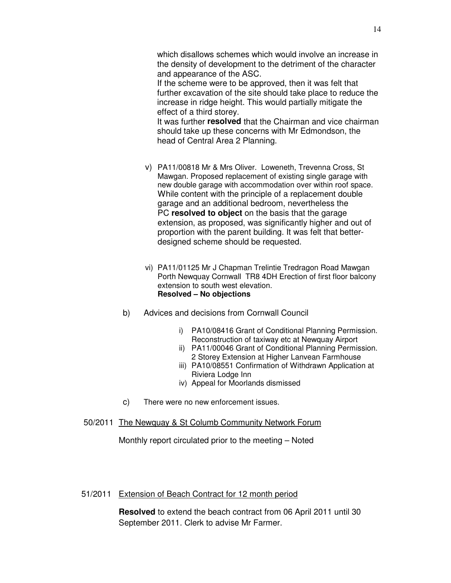If the scheme were to be approved, then it was felt that further excavation of the site should take place to reduce the increase in ridge height. This would partially mitigate the effect of a third storey.

It was further **resolved** that the Chairman and vice chairman should take up these concerns with Mr Edmondson, the head of Central Area 2 Planning.

- v) PA11/00818 Mr & Mrs Oliver. Loweneth, Trevenna Cross, St Mawgan. Proposed replacement of existing single garage with new double garage with accommodation over within roof space. While content with the principle of a replacement double garage and an additional bedroom, nevertheless the PC **resolved to object** on the basis that the garage extension, as proposed, was significantly higher and out of proportion with the parent building. It was felt that betterdesigned scheme should be requested.
- vi) PA11/01125 Mr J Chapman Trelintie Tredragon Road Mawgan Porth Newquay Cornwall TR8 4DH Erection of first floor balcony extension to south west elevation. **Resolved – No objections**
- b) Advices and decisions from Cornwall Council
	- i) PA10/08416 Grant of Conditional Planning Permission. Reconstruction of taxiway etc at Newquay Airport
	- ii) PA11/00046 Grant of Conditional Planning Permission. 2 Storey Extension at Higher Lanvean Farmhouse
	- iii) PA10/08551 Confirmation of Withdrawn Application at Riviera Lodge Inn
	- iv) Appeal for Moorlands dismissed
- c) There were no new enforcement issues.
- 50/2011 The Newquay & St Columb Community Network Forum

Monthly report circulated prior to the meeting – Noted

# 51/2011 Extension of Beach Contract for 12 month period

**Resolved** to extend the beach contract from 06 April 2011 until 30 September 2011. Clerk to advise Mr Farmer.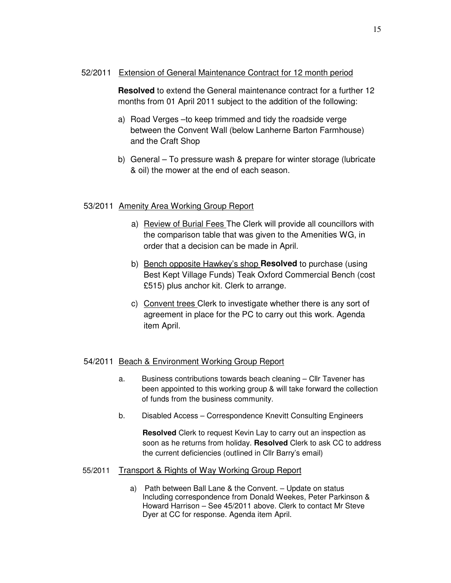#### 52/2011 Extension of General Maintenance Contract for 12 month period

**Resolved** to extend the General maintenance contract for a further 12 months from 01 April 2011 subject to the addition of the following:

- a) Road Verges –to keep trimmed and tidy the roadside verge between the Convent Wall (below Lanherne Barton Farmhouse) and the Craft Shop
- b) General To pressure wash & prepare for winter storage (lubricate & oil) the mower at the end of each season.

## 53/2011 Amenity Area Working Group Report

- a) Review of Burial Fees The Clerk will provide all councillors with the comparison table that was given to the Amenities WG, in order that a decision can be made in April.
- b) Bench opposite Hawkey's shop **Resolved** to purchase (using Best Kept Village Funds) Teak Oxford Commercial Bench (cost £515) plus anchor kit. Clerk to arrange.
- c) Convent trees Clerk to investigate whether there is any sort of agreement in place for the PC to carry out this work. Agenda item April.

## 54/2011 Beach & Environment Working Group Report

- a. Business contributions towards beach cleaning Cllr Tavener has been appointed to this working group & will take forward the collection of funds from the business community.
- b. Disabled Access Correspondence Knevitt Consulting Engineers

**Resolved** Clerk to request Kevin Lay to carry out an inspection as soon as he returns from holiday. **Resolved** Clerk to ask CC to address the current deficiencies (outlined in Cllr Barry's email)

#### 55/2011 Transport & Rights of Way Working Group Report

a) Path between Ball Lane & the Convent. – Update on status Including correspondence from Donald Weekes, Peter Parkinson & Howard Harrison – See 45/2011 above. Clerk to contact Mr Steve Dyer at CC for response. Agenda item April.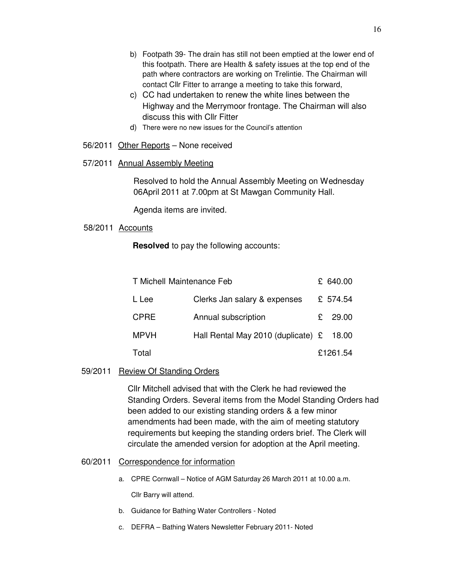- b) Footpath 39- The drain has still not been emptied at the lower end of this footpath. There are Health & safety issues at the top end of the path where contractors are working on Trelintie. The Chairman will contact Cllr Fitter to arrange a meeting to take this forward,
- c) CC had undertaken to renew the white lines between the Highway and the Merrymoor frontage. The Chairman will also discuss this with Cllr Fitter
- d) There were no new issues for the Council's attention

#### 56/2011 Other Reports – None received

#### 57/2011 Annual Assembly Meeting

Resolved to hold the Annual Assembly Meeting on Wednesday 06April 2011 at 7.00pm at St Mawgan Community Hall.

Agenda items are invited.

## 58/2011 Accounts

**Resolved** to pay the following accounts:

| T Michell Maintenance Feb |                                             | £ 640.00  |
|---------------------------|---------------------------------------------|-----------|
| L Lee                     | Clerks Jan salary & expenses                | £ 574.54  |
| <b>CPRE</b>               | Annual subscription                         | £ $29.00$ |
| <b>MPVH</b>               | Hall Rental May 2010 (duplicate) $\epsilon$ | 18.00     |
| Total                     |                                             | £1261.54  |

## 59/2011 Review Of Standing Orders

Cllr Mitchell advised that with the Clerk he had reviewed the Standing Orders. Several items from the Model Standing Orders had been added to our existing standing orders & a few minor amendments had been made, with the aim of meeting statutory requirements but keeping the standing orders brief. The Clerk will circulate the amended version for adoption at the April meeting.

#### 60/2011 Correspondence for information

a. CPRE Cornwall – Notice of AGM Saturday 26 March 2011 at 10.00 a.m.

Cllr Barry will attend.

- b. Guidance for Bathing Water Controllers Noted
- c. DEFRA Bathing Waters Newsletter February 2011- Noted